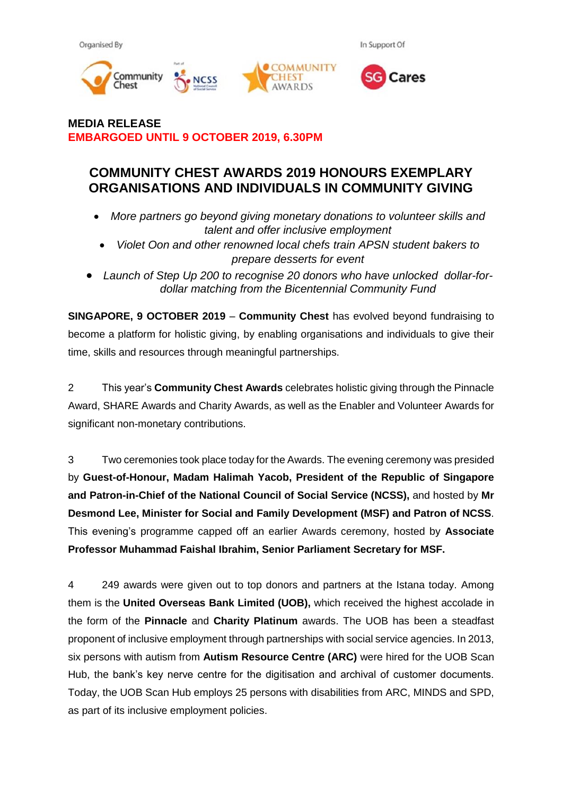Organised By

In Support Of





**MEDIA RELEASE EMBARGOED UNTIL 9 OCTOBER 2019, 6.30PM**

## **COMMUNITY CHEST AWARDS 2019 HONOURS EXEMPLARY ORGANISATIONS AND INDIVIDUALS IN COMMUNITY GIVING**

- *More partners go beyond giving monetary donations to volunteer skills and talent and offer inclusive employment*
- *Violet Oon and other renowned local chefs train APSN student bakers to prepare desserts for event*
- *Launch of Step Up 200 to recognise 20 donors who have unlocked dollar-fordollar matching from the Bicentennial Community Fund*

**SINGAPORE, 9 OCTOBER 2019** – **Community Chest** has evolved beyond fundraising to become a platform for holistic giving, by enabling organisations and individuals to give their time, skills and resources through meaningful partnerships.

2 This year's **Community Chest Awards** celebrates holistic giving through the Pinnacle Award, SHARE Awards and Charity Awards, as well as the Enabler and Volunteer Awards for significant non-monetary contributions.

3 Two ceremonies took place today for the Awards. The evening ceremony was presided by **Guest-of-Honour, Madam Halimah Yacob, President of the Republic of Singapore and Patron-in-Chief of the National Council of Social Service (NCSS),** and hosted by **Mr Desmond Lee, Minister for Social and Family Development (MSF) and Patron of NCSS**. This evening's programme capped off an earlier Awards ceremony, hosted by **Associate Professor Muhammad Faishal Ibrahim, Senior Parliament Secretary for MSF.** 

4 249 awards were given out to top donors and partners at the Istana today. Among them is the **United Overseas Bank Limited (UOB),** which received the highest accolade in the form of the **Pinnacle** and **Charity Platinum** awards. The UOB has been a steadfast proponent of inclusive employment through partnerships with social service agencies. In 2013, six persons with autism from **Autism Resource Centre (ARC)** were hired for the UOB Scan Hub, the bank's key nerve centre for the digitisation and archival of customer documents. Today, the UOB Scan Hub employs 25 persons with disabilities from ARC, MINDS and SPD, as part of its inclusive employment policies.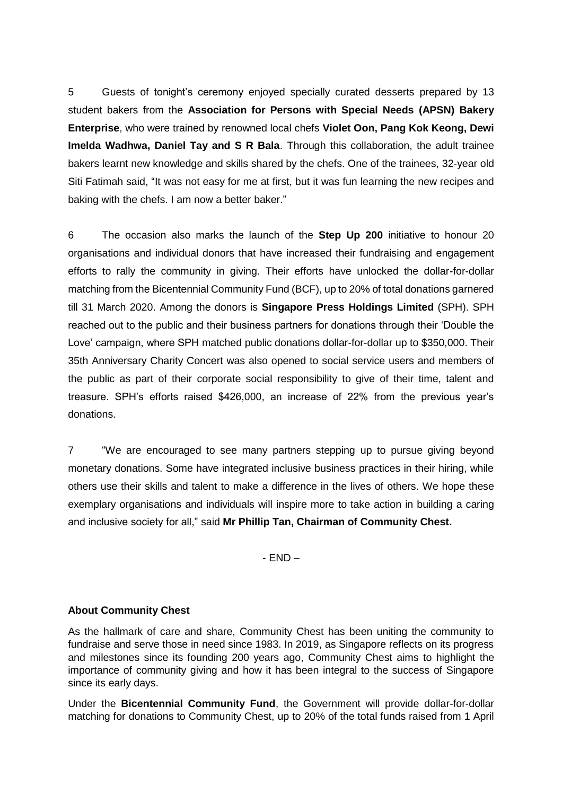5 Guests of tonight's ceremony enjoyed specially curated desserts prepared by 13 student bakers from the **Association for Persons with Special Needs (APSN) Bakery Enterprise**, who were trained by renowned local chefs **Violet Oon, Pang Kok Keong, Dewi Imelda Wadhwa, Daniel Tay and S R Bala**. Through this collaboration, the adult trainee bakers learnt new knowledge and skills shared by the chefs. One of the trainees, 32-year old Siti Fatimah said, "It was not easy for me at first, but it was fun learning the new recipes and baking with the chefs. I am now a better baker."

6 The occasion also marks the launch of the **Step Up 200** initiative to honour 20 organisations and individual donors that have increased their fundraising and engagement efforts to rally the community in giving. Their efforts have unlocked the dollar-for-dollar matching from the Bicentennial Community Fund (BCF), up to 20% of total donations garnered till 31 March 2020. Among the donors is **Singapore Press Holdings Limited** (SPH). SPH reached out to the public and their business partners for donations through their 'Double the Love' campaign, where SPH matched public donations dollar-for-dollar up to \$350,000. Their 35th Anniversary Charity Concert was also opened to social service users and members of the public as part of their corporate social responsibility to give of their time, talent and treasure. SPH's efforts raised \$426,000, an increase of 22% from the previous year's donations.

7 "We are encouraged to see many partners stepping up to pursue giving beyond monetary donations. Some have integrated inclusive business practices in their hiring, while others use their skills and talent to make a difference in the lives of others. We hope these exemplary organisations and individuals will inspire more to take action in building a caring and inclusive society for all," said **Mr Phillip Tan, Chairman of Community Chest.**

- END –

### **About Community Chest**

As the hallmark of care and share, Community Chest has been uniting the community to fundraise and serve those in need since 1983. In 2019, as Singapore reflects on its progress and milestones since its founding 200 years ago, Community Chest aims to highlight the importance of community giving and how it has been integral to the success of Singapore since its early days.

Under the **Bicentennial Community Fund**, the Government will provide dollar-for-dollar matching for donations to Community Chest, up to 20% of the total funds raised from 1 April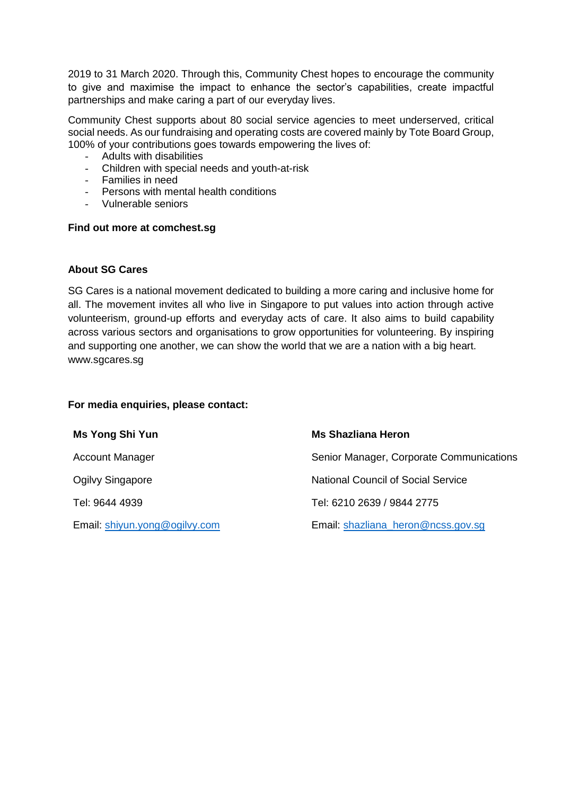2019 to 31 March 2020. Through this, Community Chest hopes to encourage the community to give and maximise the impact to enhance the sector's capabilities, create impactful partnerships and make caring a part of our everyday lives.

Community Chest supports about 80 social service agencies to meet underserved, critical social needs. As our fundraising and operating costs are covered mainly by Tote Board Group, 100% of your contributions goes towards empowering the lives of:

- Adults with disabilities
- Children with special needs and youth-at-risk
- Families in need
- Persons with mental health conditions
- Vulnerable seniors

#### **Find out more at comchest.sg**

### **About SG Cares**

SG Cares is a national movement dedicated to building a more caring and inclusive home for all. The movement invites all who live in Singapore to put values into action through active volunteerism, ground-up efforts and everyday acts of care. It also aims to build capability across various sectors and organisations to grow opportunities for volunteering. By inspiring and supporting one another, we can show the world that we are a nation with a big heart. www.sgcares.sg

#### **For media enquiries, please contact:**

| Ms Yong Shi Yun               | <b>Ms Shazliana Heron</b>                 |
|-------------------------------|-------------------------------------------|
| <b>Account Manager</b>        | Senior Manager, Corporate Communications  |
| Ogilvy Singapore              | <b>National Council of Social Service</b> |
| Tel: 9644 4939                | Tel: 6210 2639 / 9844 2775                |
| Email: shiyun.yong@ogilvy.com | Email: shazliana heron@ncss.gov.sg        |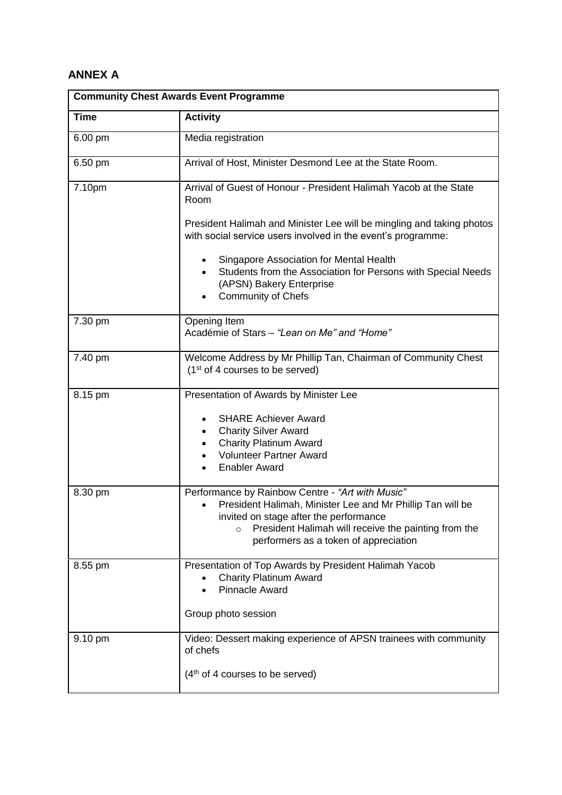# **ANNEX A**

| <b>Community Chest Awards Event Programme</b> |                                                                                                                                                                                                                    |  |  |
|-----------------------------------------------|--------------------------------------------------------------------------------------------------------------------------------------------------------------------------------------------------------------------|--|--|
| <b>Time</b>                                   | <b>Activity</b>                                                                                                                                                                                                    |  |  |
| 6.00 pm                                       | Media registration                                                                                                                                                                                                 |  |  |
| 6.50 pm                                       | Arrival of Host, Minister Desmond Lee at the State Room.                                                                                                                                                           |  |  |
| 7.10pm                                        | Arrival of Guest of Honour - President Halimah Yacob at the State<br>Room<br>President Halimah and Minister Lee will be mingling and taking photos<br>with social service users involved in the event's programme: |  |  |
|                                               |                                                                                                                                                                                                                    |  |  |
|                                               | Singapore Association for Mental Health<br>Students from the Association for Persons with Special Needs<br>(APSN) Bakery Enterprise<br><b>Community of Chefs</b>                                                   |  |  |
| 7.30 pm                                       | Opening Item<br>Académie of Stars - "Lean on Me" and "Home"                                                                                                                                                        |  |  |
| 7.40 pm                                       | Welcome Address by Mr Phillip Tan, Chairman of Community Chest<br>(1 <sup>st</sup> of 4 courses to be served)                                                                                                      |  |  |
| 8.15 pm                                       | Presentation of Awards by Minister Lee                                                                                                                                                                             |  |  |
|                                               | <b>SHARE Achiever Award</b><br>$\bullet$                                                                                                                                                                           |  |  |
|                                               | <b>Charity Silver Award</b><br><b>Charity Platinum Award</b>                                                                                                                                                       |  |  |
|                                               | <b>Volunteer Partner Award</b>                                                                                                                                                                                     |  |  |
|                                               | <b>Enabler Award</b>                                                                                                                                                                                               |  |  |
| 8.30 pm                                       | Performance by Rainbow Centre - "Art with Music"<br>President Halimah, Minister Lee and Mr Phillip Tan will be<br>$\bullet$                                                                                        |  |  |
|                                               | invited on stage after the performance                                                                                                                                                                             |  |  |
|                                               | President Halimah will receive the painting from the<br>$\circ$<br>performers as a token of appreciation                                                                                                           |  |  |
| 8.55 pm                                       | Presentation of Top Awards by President Halimah Yacob                                                                                                                                                              |  |  |
|                                               | <b>Charity Platinum Award</b><br><b>Pinnacle Award</b>                                                                                                                                                             |  |  |
|                                               | Group photo session                                                                                                                                                                                                |  |  |
| 9.10 pm                                       | Video: Dessert making experience of APSN trainees with community<br>of chefs                                                                                                                                       |  |  |
|                                               | (4 <sup>th</sup> of 4 courses to be served)                                                                                                                                                                        |  |  |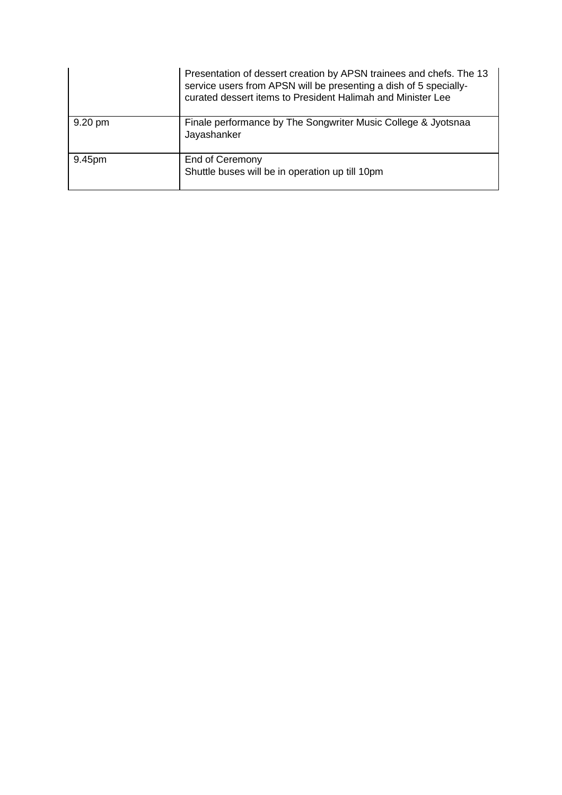|         | Presentation of dessert creation by APSN trainees and chefs. The 13<br>service users from APSN will be presenting a dish of 5 specially-<br>curated dessert items to President Halimah and Minister Lee |
|---------|---------------------------------------------------------------------------------------------------------------------------------------------------------------------------------------------------------|
| 9.20 pm | Finale performance by The Songwriter Music College & Jyotsnaa<br>Jayashanker                                                                                                                            |
| 9.45pm  | End of Ceremony<br>Shuttle buses will be in operation up till 10pm                                                                                                                                      |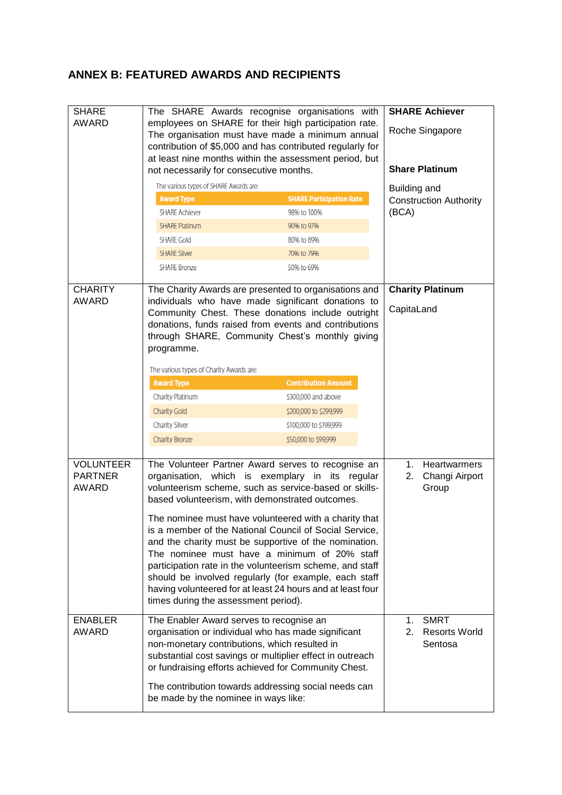## **ANNEX B: FEATURED AWARDS AND RECIPIENTS**

| The SHARE Awards recognise organisations with                                                | <b>SHARE Achiever</b>                                                                                                                                                                                                                                                                                                                                                                                                                                                                                                                                                                                                                                                                                                                                                                                                                                                                                                                                                                                                                                                                                                                                                                                                                                                                                                                                                                                                                                                     |  |
|----------------------------------------------------------------------------------------------|---------------------------------------------------------------------------------------------------------------------------------------------------------------------------------------------------------------------------------------------------------------------------------------------------------------------------------------------------------------------------------------------------------------------------------------------------------------------------------------------------------------------------------------------------------------------------------------------------------------------------------------------------------------------------------------------------------------------------------------------------------------------------------------------------------------------------------------------------------------------------------------------------------------------------------------------------------------------------------------------------------------------------------------------------------------------------------------------------------------------------------------------------------------------------------------------------------------------------------------------------------------------------------------------------------------------------------------------------------------------------------------------------------------------------------------------------------------------------|--|
| employees on SHARE for their high participation rate.                                        |                                                                                                                                                                                                                                                                                                                                                                                                                                                                                                                                                                                                                                                                                                                                                                                                                                                                                                                                                                                                                                                                                                                                                                                                                                                                                                                                                                                                                                                                           |  |
| contribution of \$5,000 and has contributed regularly for                                    |                                                                                                                                                                                                                                                                                                                                                                                                                                                                                                                                                                                                                                                                                                                                                                                                                                                                                                                                                                                                                                                                                                                                                                                                                                                                                                                                                                                                                                                                           |  |
|                                                                                              |                                                                                                                                                                                                                                                                                                                                                                                                                                                                                                                                                                                                                                                                                                                                                                                                                                                                                                                                                                                                                                                                                                                                                                                                                                                                                                                                                                                                                                                                           |  |
|                                                                                              | <b>Share Platinum</b>                                                                                                                                                                                                                                                                                                                                                                                                                                                                                                                                                                                                                                                                                                                                                                                                                                                                                                                                                                                                                                                                                                                                                                                                                                                                                                                                                                                                                                                     |  |
|                                                                                              | Building and                                                                                                                                                                                                                                                                                                                                                                                                                                                                                                                                                                                                                                                                                                                                                                                                                                                                                                                                                                                                                                                                                                                                                                                                                                                                                                                                                                                                                                                              |  |
|                                                                                              | <b>Construction Authority</b>                                                                                                                                                                                                                                                                                                                                                                                                                                                                                                                                                                                                                                                                                                                                                                                                                                                                                                                                                                                                                                                                                                                                                                                                                                                                                                                                                                                                                                             |  |
| 98% to 100%                                                                                  | (BCA)                                                                                                                                                                                                                                                                                                                                                                                                                                                                                                                                                                                                                                                                                                                                                                                                                                                                                                                                                                                                                                                                                                                                                                                                                                                                                                                                                                                                                                                                     |  |
|                                                                                              |                                                                                                                                                                                                                                                                                                                                                                                                                                                                                                                                                                                                                                                                                                                                                                                                                                                                                                                                                                                                                                                                                                                                                                                                                                                                                                                                                                                                                                                                           |  |
|                                                                                              |                                                                                                                                                                                                                                                                                                                                                                                                                                                                                                                                                                                                                                                                                                                                                                                                                                                                                                                                                                                                                                                                                                                                                                                                                                                                                                                                                                                                                                                                           |  |
|                                                                                              |                                                                                                                                                                                                                                                                                                                                                                                                                                                                                                                                                                                                                                                                                                                                                                                                                                                                                                                                                                                                                                                                                                                                                                                                                                                                                                                                                                                                                                                                           |  |
| 50% to 69%                                                                                   |                                                                                                                                                                                                                                                                                                                                                                                                                                                                                                                                                                                                                                                                                                                                                                                                                                                                                                                                                                                                                                                                                                                                                                                                                                                                                                                                                                                                                                                                           |  |
|                                                                                              | <b>Charity Platinum</b>                                                                                                                                                                                                                                                                                                                                                                                                                                                                                                                                                                                                                                                                                                                                                                                                                                                                                                                                                                                                                                                                                                                                                                                                                                                                                                                                                                                                                                                   |  |
|                                                                                              |                                                                                                                                                                                                                                                                                                                                                                                                                                                                                                                                                                                                                                                                                                                                                                                                                                                                                                                                                                                                                                                                                                                                                                                                                                                                                                                                                                                                                                                                           |  |
|                                                                                              | CapitaLand                                                                                                                                                                                                                                                                                                                                                                                                                                                                                                                                                                                                                                                                                                                                                                                                                                                                                                                                                                                                                                                                                                                                                                                                                                                                                                                                                                                                                                                                |  |
|                                                                                              |                                                                                                                                                                                                                                                                                                                                                                                                                                                                                                                                                                                                                                                                                                                                                                                                                                                                                                                                                                                                                                                                                                                                                                                                                                                                                                                                                                                                                                                                           |  |
| through SHARE, Community Chest's monthly giving<br>programme.                                |                                                                                                                                                                                                                                                                                                                                                                                                                                                                                                                                                                                                                                                                                                                                                                                                                                                                                                                                                                                                                                                                                                                                                                                                                                                                                                                                                                                                                                                                           |  |
|                                                                                              |                                                                                                                                                                                                                                                                                                                                                                                                                                                                                                                                                                                                                                                                                                                                                                                                                                                                                                                                                                                                                                                                                                                                                                                                                                                                                                                                                                                                                                                                           |  |
|                                                                                              |                                                                                                                                                                                                                                                                                                                                                                                                                                                                                                                                                                                                                                                                                                                                                                                                                                                                                                                                                                                                                                                                                                                                                                                                                                                                                                                                                                                                                                                                           |  |
|                                                                                              |                                                                                                                                                                                                                                                                                                                                                                                                                                                                                                                                                                                                                                                                                                                                                                                                                                                                                                                                                                                                                                                                                                                                                                                                                                                                                                                                                                                                                                                                           |  |
| \$300,000 and above                                                                          |                                                                                                                                                                                                                                                                                                                                                                                                                                                                                                                                                                                                                                                                                                                                                                                                                                                                                                                                                                                                                                                                                                                                                                                                                                                                                                                                                                                                                                                                           |  |
| \$200,000 to \$299,999                                                                       |                                                                                                                                                                                                                                                                                                                                                                                                                                                                                                                                                                                                                                                                                                                                                                                                                                                                                                                                                                                                                                                                                                                                                                                                                                                                                                                                                                                                                                                                           |  |
| \$100,000 to \$199,999                                                                       |                                                                                                                                                                                                                                                                                                                                                                                                                                                                                                                                                                                                                                                                                                                                                                                                                                                                                                                                                                                                                                                                                                                                                                                                                                                                                                                                                                                                                                                                           |  |
| \$50,000 to \$99,999                                                                         |                                                                                                                                                                                                                                                                                                                                                                                                                                                                                                                                                                                                                                                                                                                                                                                                                                                                                                                                                                                                                                                                                                                                                                                                                                                                                                                                                                                                                                                                           |  |
|                                                                                              |                                                                                                                                                                                                                                                                                                                                                                                                                                                                                                                                                                                                                                                                                                                                                                                                                                                                                                                                                                                                                                                                                                                                                                                                                                                                                                                                                                                                                                                                           |  |
|                                                                                              | <b>Heartwarmers</b><br>1.                                                                                                                                                                                                                                                                                                                                                                                                                                                                                                                                                                                                                                                                                                                                                                                                                                                                                                                                                                                                                                                                                                                                                                                                                                                                                                                                                                                                                                                 |  |
|                                                                                              | Changi Airport<br>2.                                                                                                                                                                                                                                                                                                                                                                                                                                                                                                                                                                                                                                                                                                                                                                                                                                                                                                                                                                                                                                                                                                                                                                                                                                                                                                                                                                                                                                                      |  |
|                                                                                              | Group                                                                                                                                                                                                                                                                                                                                                                                                                                                                                                                                                                                                                                                                                                                                                                                                                                                                                                                                                                                                                                                                                                                                                                                                                                                                                                                                                                                                                                                                     |  |
|                                                                                              |                                                                                                                                                                                                                                                                                                                                                                                                                                                                                                                                                                                                                                                                                                                                                                                                                                                                                                                                                                                                                                                                                                                                                                                                                                                                                                                                                                                                                                                                           |  |
|                                                                                              |                                                                                                                                                                                                                                                                                                                                                                                                                                                                                                                                                                                                                                                                                                                                                                                                                                                                                                                                                                                                                                                                                                                                                                                                                                                                                                                                                                                                                                                                           |  |
|                                                                                              |                                                                                                                                                                                                                                                                                                                                                                                                                                                                                                                                                                                                                                                                                                                                                                                                                                                                                                                                                                                                                                                                                                                                                                                                                                                                                                                                                                                                                                                                           |  |
|                                                                                              |                                                                                                                                                                                                                                                                                                                                                                                                                                                                                                                                                                                                                                                                                                                                                                                                                                                                                                                                                                                                                                                                                                                                                                                                                                                                                                                                                                                                                                                                           |  |
|                                                                                              |                                                                                                                                                                                                                                                                                                                                                                                                                                                                                                                                                                                                                                                                                                                                                                                                                                                                                                                                                                                                                                                                                                                                                                                                                                                                                                                                                                                                                                                                           |  |
|                                                                                              |                                                                                                                                                                                                                                                                                                                                                                                                                                                                                                                                                                                                                                                                                                                                                                                                                                                                                                                                                                                                                                                                                                                                                                                                                                                                                                                                                                                                                                                                           |  |
|                                                                                              |                                                                                                                                                                                                                                                                                                                                                                                                                                                                                                                                                                                                                                                                                                                                                                                                                                                                                                                                                                                                                                                                                                                                                                                                                                                                                                                                                                                                                                                                           |  |
|                                                                                              |                                                                                                                                                                                                                                                                                                                                                                                                                                                                                                                                                                                                                                                                                                                                                                                                                                                                                                                                                                                                                                                                                                                                                                                                                                                                                                                                                                                                                                                                           |  |
|                                                                                              | <b>SMRT</b><br>$\mathbf{1}$ .                                                                                                                                                                                                                                                                                                                                                                                                                                                                                                                                                                                                                                                                                                                                                                                                                                                                                                                                                                                                                                                                                                                                                                                                                                                                                                                                                                                                                                             |  |
|                                                                                              | 2.<br><b>Resorts World</b><br>Sentosa                                                                                                                                                                                                                                                                                                                                                                                                                                                                                                                                                                                                                                                                                                                                                                                                                                                                                                                                                                                                                                                                                                                                                                                                                                                                                                                                                                                                                                     |  |
| non-monetary contributions, which resulted in                                                |                                                                                                                                                                                                                                                                                                                                                                                                                                                                                                                                                                                                                                                                                                                                                                                                                                                                                                                                                                                                                                                                                                                                                                                                                                                                                                                                                                                                                                                                           |  |
|                                                                                              |                                                                                                                                                                                                                                                                                                                                                                                                                                                                                                                                                                                                                                                                                                                                                                                                                                                                                                                                                                                                                                                                                                                                                                                                                                                                                                                                                                                                                                                                           |  |
|                                                                                              |                                                                                                                                                                                                                                                                                                                                                                                                                                                                                                                                                                                                                                                                                                                                                                                                                                                                                                                                                                                                                                                                                                                                                                                                                                                                                                                                                                                                                                                                           |  |
|                                                                                              |                                                                                                                                                                                                                                                                                                                                                                                                                                                                                                                                                                                                                                                                                                                                                                                                                                                                                                                                                                                                                                                                                                                                                                                                                                                                                                                                                                                                                                                                           |  |
| The contribution towards addressing social needs can<br>be made by the nominee in ways like: |                                                                                                                                                                                                                                                                                                                                                                                                                                                                                                                                                                                                                                                                                                                                                                                                                                                                                                                                                                                                                                                                                                                                                                                                                                                                                                                                                                                                                                                                           |  |
|                                                                                              | The organisation must have made a minimum annual<br>at least nine months within the assessment period, but<br>not necessarily for consecutive months.<br>The various types of SHARE Awards are:<br><b>SHARE Participation Rate</b><br>90% to 97%<br>80% to 89%<br>70% to 79%<br>The Charity Awards are presented to organisations and<br>individuals who have made significant donations to<br>Community Chest. These donations include outright<br>donations, funds raised from events and contributions<br>The various types of Charity Awards are:<br><b>Contribution Amount</b><br>The Volunteer Partner Award serves to recognise an<br>which is exemplary in its regular<br>volunteerism scheme, such as service-based or skills-<br>based volunteerism, with demonstrated outcomes.<br>The nominee must have volunteered with a charity that<br>is a member of the National Council of Social Service,<br>and the charity must be supportive of the nomination.<br>The nominee must have a minimum of 20% staff<br>participation rate in the volunteerism scheme, and staff<br>should be involved regularly (for example, each staff<br>having volunteered for at least 24 hours and at least four<br>times during the assessment period).<br>The Enabler Award serves to recognise an<br>organisation or individual who has made significant<br>substantial cost savings or multiplier effect in outreach<br>or fundraising efforts achieved for Community Chest. |  |